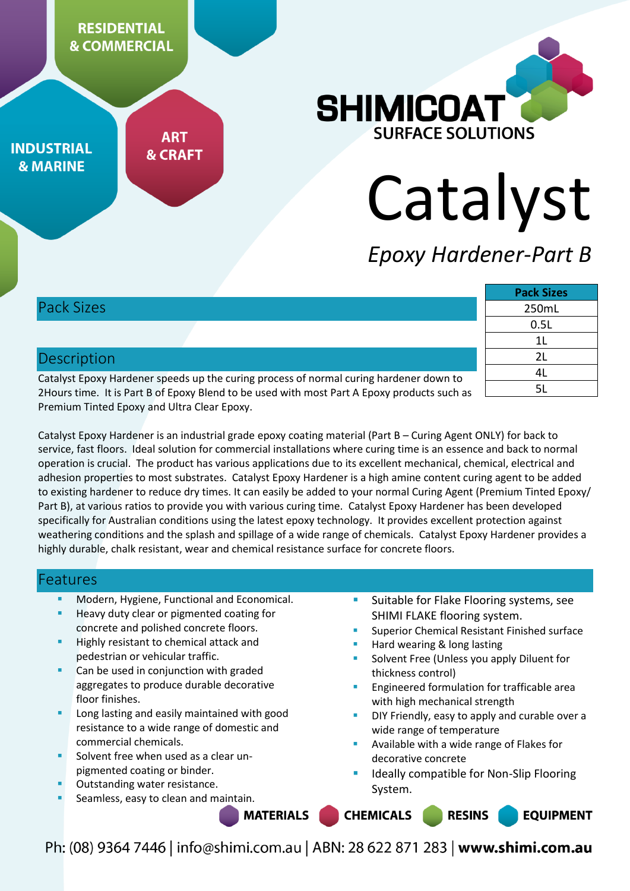**RESIDENTIAL & COMMERCIAL** 

**INDUSTRIAL & MARINE** 

**ART & CRAFT** 



# Catalyst

# *Epoxy Hardener-Part B*

# Pack Sizes

# **Description**

Catalyst Epoxy Hardener speeds up the curing process of normal curing hardener down to 2Hours time. It is Part B of Epoxy Blend to be used with most Part A Epoxy products such as Premium Tinted Epoxy and Ultra Clear Epoxy.

| <b>Pack Sizes</b> |
|-------------------|
| 250mL             |
| 0.5L              |
| 1L                |
| 2L                |
| 4L                |
| 51.               |

Catalyst Epoxy Hardener is an industrial grade epoxy coating material (Part B – Curing Agent ONLY) for back to service, fast floors. Ideal solution for commercial installations where curing time is an essence and back to normal operation is crucial. The product has various applications due to its excellent mechanical, chemical, electrical and adhesion properties to most substrates. Catalyst Epoxy Hardener is a high amine content curing agent to be added to existing hardener to reduce dry times. It can easily be added to your normal Curing Agent (Premium Tinted Epoxy/ Part B), at various ratios to provide you with various curing time. Catalyst Epoxy Hardener has been developed specifically for Australian conditions using the latest epoxy technology. It provides excellent protection against weathering conditions and the splash and spillage of a wide range of chemicals. Catalyst Epoxy Hardener provides a highly durable, chalk resistant, wear and chemical resistance surface for concrete floors.

## Features

- Modern, Hygiene, Functional and Economical.
- Heavy duty clear or pigmented coating for concrete and polished concrete floors.
- Highly resistant to chemical attack and pedestrian or vehicular traffic.
- Can be used in conjunction with graded aggregates to produce durable decorative floor finishes.
- Long lasting and easily maintained with good resistance to a wide range of domestic and commercial chemicals.
- Solvent free when used as a clear unpigmented coating or binder.
- Outstanding water resistance.
- Seamless, easy to clean and maintain.
- Suitable for Flake Flooring systems, see SHIMI FLAKE flooring system.
- Superior Chemical Resistant Finished surface
- Hard wearing & long lasting
- Solvent Free (Unless you apply Diluent for thickness control)
- Engineered formulation for trafficable area with high mechanical strength
- DIY Friendly, easy to apply and curable over a wide range of temperature
- Available with a wide range of Flakes for decorative concrete
- Ideally compatible for Non-Slip Flooring System.

**MATERIALS CHEMICALS RESINS EQUIPMENT**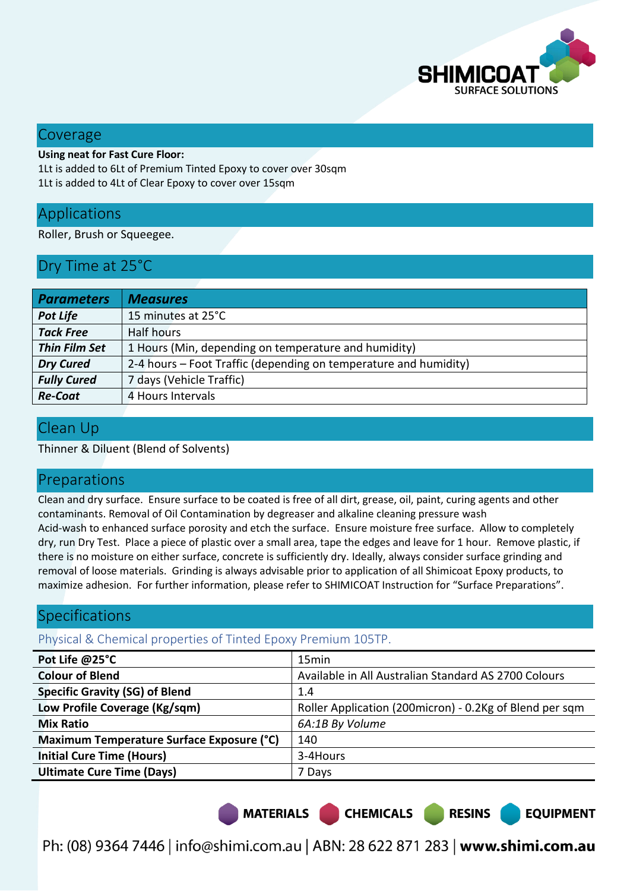

#### Coverage

#### **Using neat for Fast Cure Floor:**

1Lt is added to 6Lt of Premium Tinted Epoxy to cover over 30sqm 1Lt is added to 4Lt of Clear Epoxy to cover over 15sqm

# Applications

Roller, Brush or Squeegee.

# Dry Time at 25°C

| <b>Parameters</b>    | <b>Measures</b>                                                  |
|----------------------|------------------------------------------------------------------|
| <b>Pot Life</b>      | 15 minutes at 25°C                                               |
| <b>Tack Free</b>     | <b>Half hours</b>                                                |
| <b>Thin Film Set</b> | 1 Hours (Min, depending on temperature and humidity)             |
| <b>Dry Cured</b>     | 2-4 hours – Foot Traffic (depending on temperature and humidity) |
| <b>Fully Cured</b>   | 7 days (Vehicle Traffic)                                         |
| <b>Re-Coat</b>       | 4 Hours Intervals                                                |

# Clean Up

Thinner & Diluent (Blend of Solvents)

## Preparations

Clean and dry surface. Ensure surface to be coated is free of all dirt, grease, oil, paint, curing agents and other contaminants. Removal of Oil Contamination by degreaser and alkaline cleaning pressure wash Acid-wash to enhanced surface porosity and etch the surface. Ensure moisture free surface. Allow to completely dry, run Dry Test. Place a piece of plastic over a small area, tape the edges and leave for 1 hour. Remove plastic, if there is no moisture on either surface, concrete is sufficiently dry. Ideally, always consider surface grinding and removal of loose materials. Grinding is always advisable prior to application of all Shimicoat Epoxy products, to maximize adhesion. For further information, please refer to SHIMICOAT Instruction for "Surface Preparations".

# Specifications

#### Physical & Chemical properties of Tinted Epoxy Premium 105TP.

| Pot Life @25°C                            | 15 <sub>min</sub>                                       |  |
|-------------------------------------------|---------------------------------------------------------|--|
| <b>Colour of Blend</b>                    | Available in All Australian Standard AS 2700 Colours    |  |
| <b>Specific Gravity (SG) of Blend</b>     | 1.4                                                     |  |
| Low Profile Coverage (Kg/sqm)             | Roller Application (200micron) - 0.2Kg of Blend per sqm |  |
| <b>Mix Ratio</b>                          | 6A:1B By Volume                                         |  |
| Maximum Temperature Surface Exposure (°C) | 140                                                     |  |
| <b>Initial Cure Time (Hours)</b>          | 3-4Hours                                                |  |
| <b>Ultimate Cure Time (Days)</b>          | 7 Days                                                  |  |

MATERIALS CHEMICALS

**EQUIPMENT** 

**RESINS**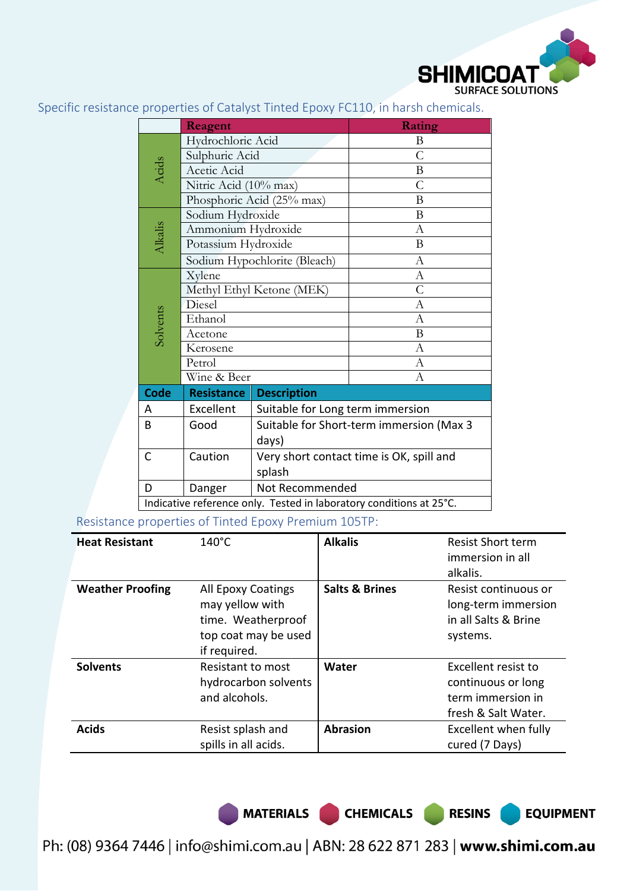

Specific resistance properties of Catalyst Tinted Epoxy FC110, in harsh chemicals.

|                                                                     |                           |                                          | <b>Rating</b>  |  |
|---------------------------------------------------------------------|---------------------------|------------------------------------------|----------------|--|
|                                                                     | Reagent                   |                                          |                |  |
|                                                                     | Hydrochloric Acid         |                                          | B              |  |
|                                                                     | Sulphuric Acid            |                                          | $\mathcal{C}$  |  |
| Acids                                                               | Acetic Acid               |                                          | $\mathbf{B}$   |  |
|                                                                     | Nitric Acid (10% max)     |                                          | $\overline{C}$ |  |
|                                                                     |                           | Phosphoric Acid (25% max)                | B              |  |
|                                                                     | Sodium Hydroxide          |                                          | B              |  |
|                                                                     | Ammonium Hydroxide        |                                          | A              |  |
| Alkalis                                                             | Potassium Hydroxide       |                                          | B              |  |
|                                                                     |                           | Sodium Hypochlorite (Bleach)             | $\mathbf{A}$   |  |
|                                                                     | Xylene                    |                                          | A              |  |
|                                                                     | Methyl Ethyl Ketone (MEK) |                                          | $\overline{C}$ |  |
|                                                                     | Diesel                    |                                          | A              |  |
| Solvents                                                            | Ethanol                   |                                          | A              |  |
|                                                                     | Acetone                   |                                          | B              |  |
|                                                                     | Kerosene                  |                                          | $\mathbf{A}$   |  |
|                                                                     | Petrol                    |                                          | А              |  |
|                                                                     | Wine & Beer               |                                          | $\Lambda$      |  |
| <b>Code</b>                                                         | <b>Resistance</b>         | <b>Description</b>                       |                |  |
| A                                                                   | Excellent                 | Suitable for Long term immersion         |                |  |
| Suitable for Short-term immersion (Max 3<br>Good<br>B               |                           |                                          |                |  |
|                                                                     |                           | days)                                    |                |  |
| $\mathsf{C}$                                                        | Caution                   | Very short contact time is OK, spill and |                |  |
|                                                                     |                           | splash                                   |                |  |
| D                                                                   | Danger                    | Not Recommended                          |                |  |
| Indicative reference only. Tested in laboratory conditions at 25°C. |                           |                                          |                |  |

Resistance properties of Tinted Epoxy Premium 105TP:

| <b>Heat Resistant</b>   | $140^{\circ}$ C                                                                                     | <b>Alkalis</b>            | <b>Resist Short term</b><br>immersion in all<br>alkalis.                              |
|-------------------------|-----------------------------------------------------------------------------------------------------|---------------------------|---------------------------------------------------------------------------------------|
| <b>Weather Proofing</b> | All Epoxy Coatings<br>may yellow with<br>time. Weatherproof<br>top coat may be used<br>if required. | <b>Salts &amp; Brines</b> | Resist continuous or<br>long-term immersion<br>in all Salts & Brine<br>systems.       |
| <b>Solvents</b>         | <b>Resistant to most</b><br>hydrocarbon solvents<br>and alcohols.                                   | Water                     | Excellent resist to<br>continuous or long<br>term immersion in<br>fresh & Salt Water. |
| <b>Acids</b>            | Resist splash and<br>spills in all acids.                                                           | <b>Abrasion</b>           | Excellent when fully<br>cured (7 Days)                                                |

MATERIALS CHEMICALS RESINS

**EQUIPMENT**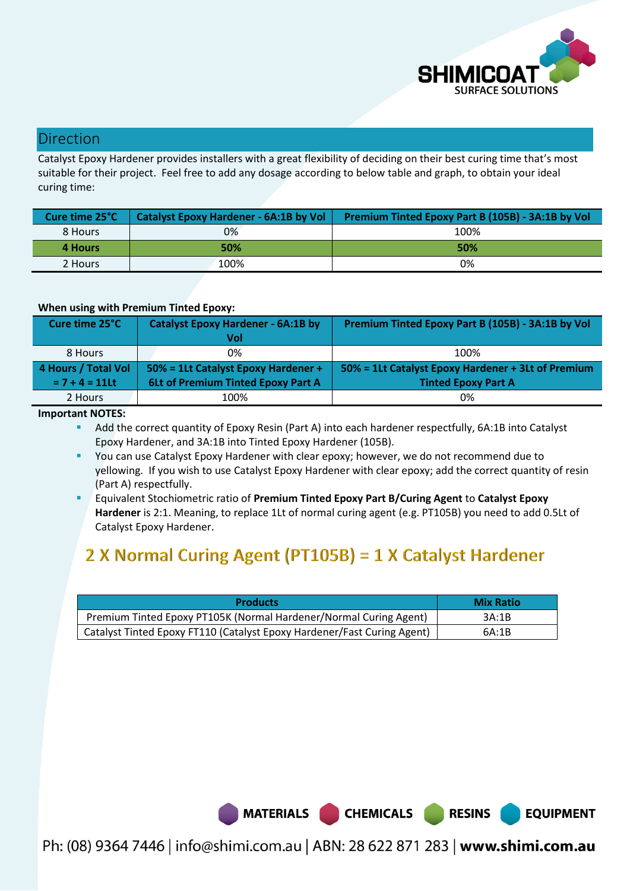

# Direction

Catalyst Epoxy Hardener provides installers with a great flexibility of deciding on their best curing time that's most suitable for their project. Feel free to add any dosage according to below table and graph, to obtain your ideal curing time:

| Cure time 25°C | Catalyst Epoxy Hardener - 6A:1B by Vol | Premium Tinted Epoxy Part B (105B) - 3A:1B by Vol |
|----------------|----------------------------------------|---------------------------------------------------|
| 8 Hours        | 0%                                     | 100%                                              |
| 4 Hours        | 50%                                    | 50%                                               |
| 2 Hours        | 100%                                   | 0%                                                |

#### **When using with Premium Tinted Epoxy:**

| Cure time 25°C      | <b>Catalyst Epoxy Hardener - 6A:1B by</b><br>Vol | Premium Tinted Epoxy Part B (105B) - 3A:1B by Vol  |  |
|---------------------|--------------------------------------------------|----------------------------------------------------|--|
| 8 Hours             | 0%                                               | 100%                                               |  |
| 4 Hours / Total Vol | 50% = 1Lt Catalyst Epoxy Hardener +              | 50% = 1Lt Catalyst Epoxy Hardener + 3Lt of Premium |  |
| $= 7 + 4 = 11$ Lt   | 6Lt of Premium Tinted Epoxy Part A               | <b>Tinted Epoxy Part A</b>                         |  |
| 2 Hours             | 100%                                             | 0%                                                 |  |

#### **Important NOTES:**

 Add the correct quantity of Epoxy Resin (Part A) into each hardener respectfully, 6A:1B into Catalyst Epoxy Hardener, and 3A:1B into Tinted Epoxy Hardener (105B).

- You can use Catalyst Epoxy Hardener with clear epoxy; however, we do not recommend due to yellowing. If you wish to use Catalyst Epoxy Hardener with clear epoxy; add the correct quantity of resin (Part A) respectfully.
- Equivalent Stochiometric ratio of **Premium Tinted Epoxy Part B/Curing Agent** to **Catalyst Epoxy Hardener** is 2:1. Meaning, to replace 1Lt of normal curing agent (e.g. PT105B) you need to add 0.5Lt of Catalyst Epoxy Hardener.

# 2 X Normal Curing Agent (PT105B) = 1 X Catalyst Hardener

| <b>Products</b>                                                         | <b>Mix Ratio</b> |
|-------------------------------------------------------------------------|------------------|
| Premium Tinted Epoxy PT105K (Normal Hardener/Normal Curing Agent)       | 3A:1B            |
| Catalyst Tinted Epoxy FT110 (Catalyst Epoxy Hardener/Fast Curing Agent) | 6A:1B            |



Ph: (08) 9364 7446 | info@shimi.com.au | ABN: 28 622 871 283 | www.shimi.com.au

**RESINS** 

**EQUIPMENT**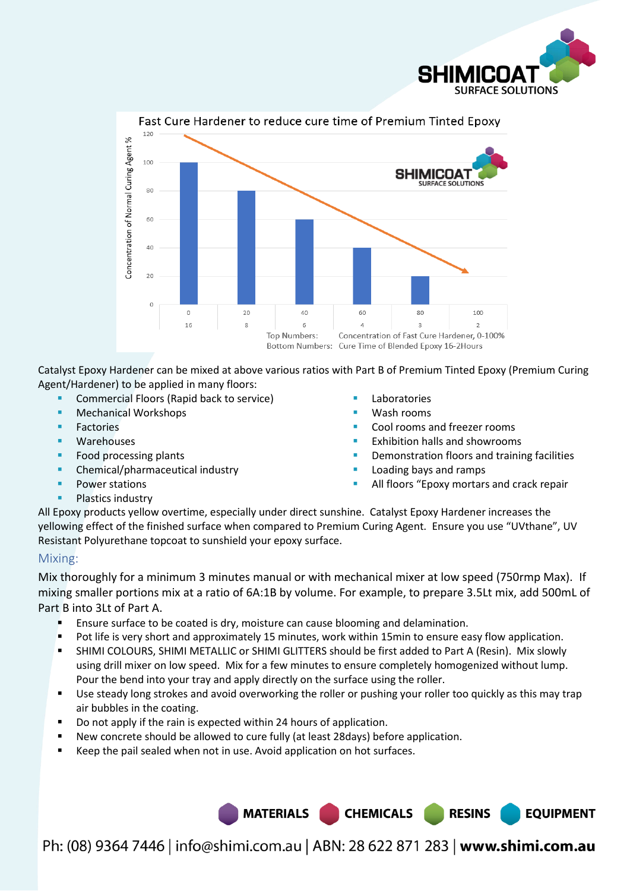



Catalyst Epoxy Hardener can be mixed at above various ratios with Part B of Premium Tinted Epoxy (Premium Curing Agent/Hardener) to be applied in many floors:

- Commercial Floors (Rapid back to service)
- Mechanical Workshops
- **Factories**
- Warehouses
- Food processing plants
- Chemical/pharmaceutical industry
- **Power stations**
- Plastics industry
- Laboratories
- Wash rooms
- Cool rooms and freezer rooms
- Exhibition halls and showrooms
- Demonstration floors and training facilities
- Loading bays and ramps
- All floors "Epoxy mortars and crack repair

**RESINS** 

**EQUIPMENT** 

All Epoxy products yellow overtime, especially under direct sunshine. Catalyst Epoxy Hardener increases the yellowing effect of the finished surface when compared to Premium Curing Agent. Ensure you use "UVthane", UV Resistant Polyurethane topcoat to sunshield your epoxy surface.

#### Mixing:

Mix thoroughly for a minimum 3 minutes manual or with mechanical mixer at low speed (750rmp Max). If mixing smaller portions mix at a ratio of 6A:1B by volume. For example, to prepare 3.5Lt mix, add 500mL of Part B into 3Lt of Part A.

- Ensure surface to be coated is dry, moisture can cause blooming and delamination.
- **Pot life is very short and approximately 15 minutes, work within 15min to ensure easy flow application.**
- SHIMI COLOURS, SHIMI METALLIC or SHIMI GLITTERS should be first added to Part A (Resin). Mix slowly using drill mixer on low speed. Mix for a few minutes to ensure completely homogenized without lump. Pour the bend into your tray and apply directly on the surface using the roller.
- Use steady long strokes and avoid overworking the roller or pushing your roller too quickly as this may trap air bubbles in the coating.
- Do not apply if the rain is expected within 24 hours of application.
- New concrete should be allowed to cure fully (at least 28days) before application.
- Keep the pail sealed when not in use. Avoid application on hot surfaces.

Ph: (08) 9364 7446 | info@shimi.com.au | ABN: 28 622 871 283 | www.shimi.com.au

MATERIALS CHEMICALS